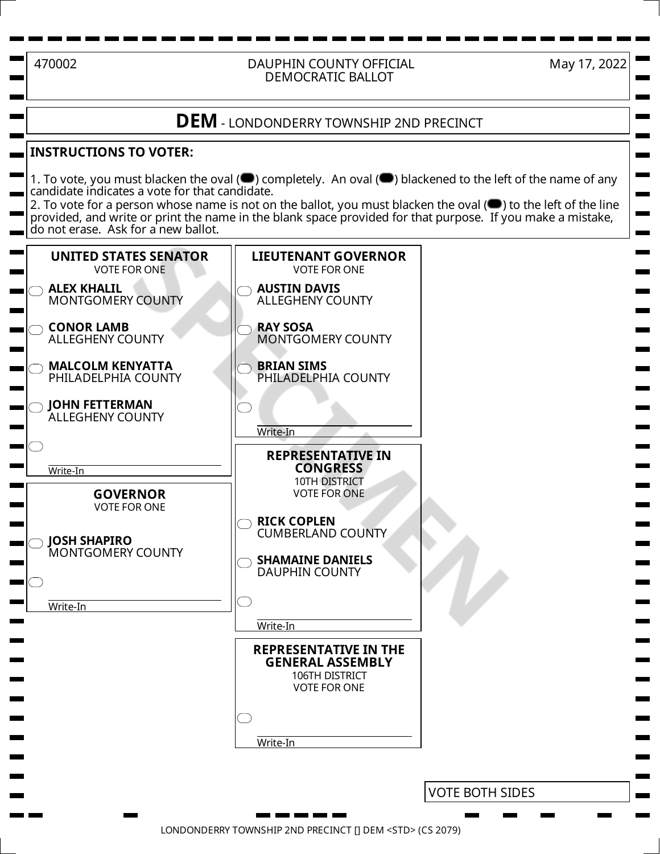## 470002 DAUPHIN COUNTY OFFICIAL DEMOCRATIC BALLOT

May 17, 2022

## **DEM** - LONDONDERRY TOWNSHIP 2ND PRECINCT

## **INSTRUCTIONS TO VOTER:**

1. To vote, you must blacken the oval (O) completely. An oval (O) blackened to the left of the name of any candidate indicates a vote for that candidate.

2. To vote for a person whose name is not on the ballot, you must blacken the oval  $($ **)** to the left of the line provided, and write or print the name in the blank space provided for that purpose. If you make a mistake, do not erase. Ask for a new ballot.